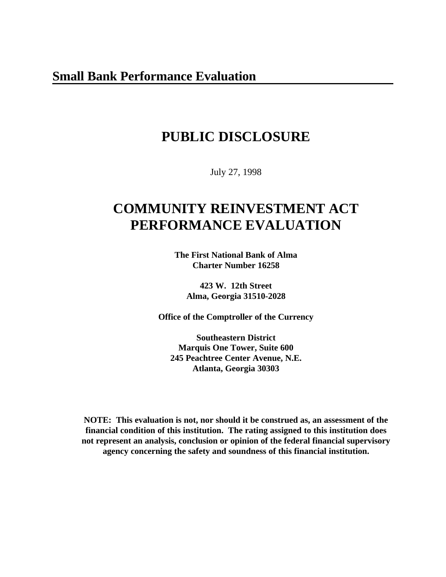# **PUBLIC DISCLOSURE**

July 27, 1998

# **COMMUNITY REINVESTMENT ACT PERFORMANCE EVALUATION**

**The First National Bank of Alma Charter Number 16258**

**423 W. 12th Street Alma, Georgia 31510-2028**

**Office of the Comptroller of the Currency**

**Southeastern District Marquis One Tower, Suite 600 245 Peachtree Center Avenue, N.E. Atlanta, Georgia 30303**

**NOTE: This evaluation is not, nor should it be construed as, an assessment of the financial condition of this institution. The rating assigned to this institution does not represent an analysis, conclusion or opinion of the federal financial supervisory agency concerning the safety and soundness of this financial institution.**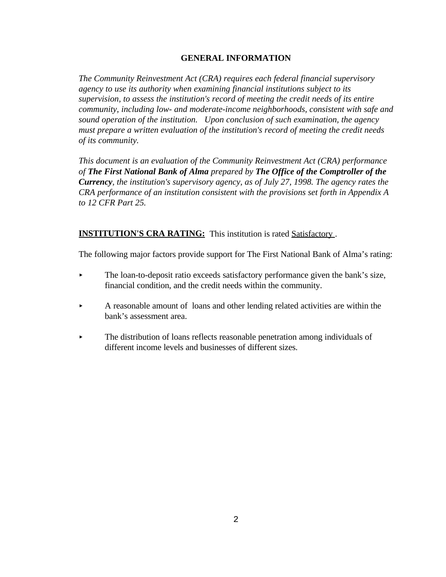# **GENERAL INFORMATION**

*The Community Reinvestment Act (CRA) requires each federal financial supervisory agency to use its authority when examining financial institutions subject to its supervision, to assess the institution's record of meeting the credit needs of its entire community, including low- and moderate-income neighborhoods, consistent with safe and sound operation of the institution. Upon conclusion of such examination, the agency must prepare a written evaluation of the institution's record of meeting the credit needs of its community.* 

*This document is an evaluation of the Community Reinvestment Act (CRA) performance of The First National Bank of Alma prepared by The Office of the Comptroller of the Currency, the institution's supervisory agency, as of July 27, 1998. The agency rates the CRA performance of an institution consistent with the provisions set forth in Appendix A to 12 CFR Part 25.*

**INSTITUTION'S CRA RATING:** This institution is rated Satisfactory.

The following major factors provide support for The First National Bank of Alma's rating:

- < The loan-to-deposit ratio exceeds satisfactory performance given the bank's size, financial condition, and the credit needs within the community.
- < A reasonable amount of loans and other lending related activities are within the bank's assessment area.
- < The distribution of loans reflects reasonable penetration among individuals of different income levels and businesses of different sizes.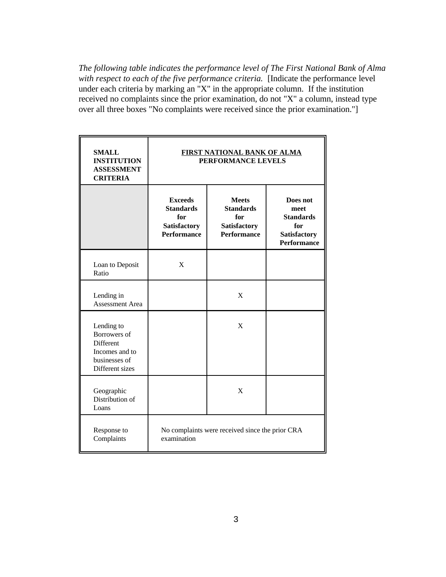*The following table indicates the performance level of The First National Bank of Alma with respect to each of the five performance criteria.* [Indicate the performance level under each criteria by marking an "X" in the appropriate column. If the institution received no complaints since the prior examination, do not "X" a column, instead type over all three boxes "No complaints were received since the prior examination."]

| <b>SMALL</b><br><b>INSTITUTION</b><br><b>ASSESSMENT</b><br><b>CRITERIA</b>                           | <b>FIRST NATIONAL BANK OF ALMA</b><br>PERFORMANCE LEVELS                               |                                                                                      |                                                                                          |  |  |
|------------------------------------------------------------------------------------------------------|----------------------------------------------------------------------------------------|--------------------------------------------------------------------------------------|------------------------------------------------------------------------------------------|--|--|
|                                                                                                      | <b>Exceeds</b><br><b>Standards</b><br>for<br><b>Satisfactory</b><br><b>Performance</b> | <b>Meets</b><br><b>Standards</b><br>for<br><b>Satisfactory</b><br><b>Performance</b> | Does not<br>meet<br><b>Standards</b><br>for<br><b>Satisfactory</b><br><b>Performance</b> |  |  |
| Loan to Deposit<br>Ratio                                                                             | X                                                                                      |                                                                                      |                                                                                          |  |  |
| Lending in<br><b>Assessment Area</b>                                                                 |                                                                                        | X                                                                                    |                                                                                          |  |  |
| Lending to<br><b>Borrowers</b> of<br>Different<br>Incomes and to<br>businesses of<br>Different sizes |                                                                                        | X                                                                                    |                                                                                          |  |  |
| Geographic<br>Distribution of<br>Loans                                                               |                                                                                        | X                                                                                    |                                                                                          |  |  |
| Response to<br>Complaints                                                                            | No complaints were received since the prior CRA<br>examination                         |                                                                                      |                                                                                          |  |  |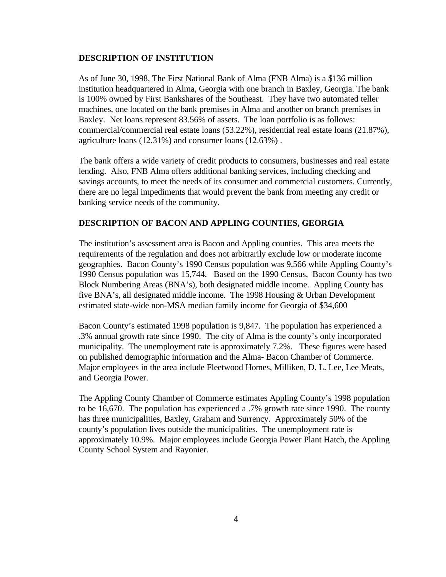## **DESCRIPTION OF INSTITUTION**

As of June 30, 1998, The First National Bank of Alma (FNB Alma) is a \$136 million institution headquartered in Alma, Georgia with one branch in Baxley, Georgia. The bank is 100% owned by First Bankshares of the Southeast. They have two automated teller machines, one located on the bank premises in Alma and another on branch premises in Baxley. Net loans represent 83.56% of assets. The loan portfolio is as follows: commercial/commercial real estate loans (53.22%), residential real estate loans (21.87%), agriculture loans (12.31%) and consumer loans (12.63%) .

The bank offers a wide variety of credit products to consumers, businesses and real estate lending. Also, FNB Alma offers additional banking services, including checking and savings accounts, to meet the needs of its consumer and commercial customers. Currently, there are no legal impediments that would prevent the bank from meeting any credit or banking service needs of the community.

## **DESCRIPTION OF BACON AND APPLING COUNTIES, GEORGIA**

The institution's assessment area is Bacon and Appling counties. This area meets the requirements of the regulation and does not arbitrarily exclude low or moderate income geographies. Bacon County's 1990 Census population was 9,566 while Appling County's 1990 Census population was 15,744. Based on the 1990 Census, Bacon County has two Block Numbering Areas (BNA's), both designated middle income. Appling County has five BNA's, all designated middle income. The 1998 Housing & Urban Development estimated state-wide non-MSA median family income for Georgia of \$34,600

Bacon County's estimated 1998 population is 9,847. The population has experienced a .3% annual growth rate since 1990. The city of Alma is the county's only incorporated municipality. The unemployment rate is approximately 7.2%. These figures were based on published demographic information and the Alma- Bacon Chamber of Commerce. Major employees in the area include Fleetwood Homes, Milliken, D. L. Lee, Lee Meats, and Georgia Power.

The Appling County Chamber of Commerce estimates Appling County's 1998 population to be 16,670. The population has experienced a .7% growth rate since 1990. The county has three municipalities, Baxley, Graham and Surrency. Approximately 50% of the county's population lives outside the municipalities. The unemployment rate is approximately 10.9%. Major employees include Georgia Power Plant Hatch, the Appling County School System and Rayonier.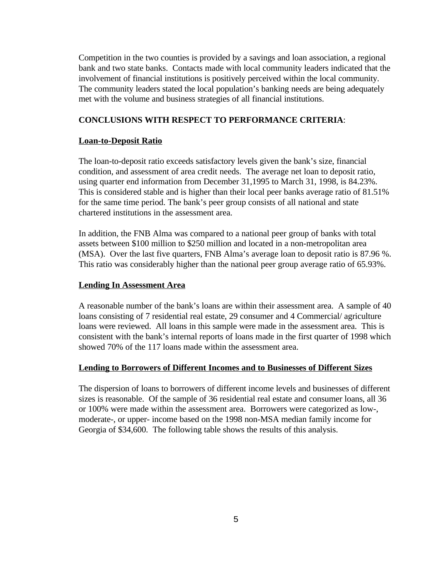Competition in the two counties is provided by a savings and loan association, a regional bank and two state banks. Contacts made with local community leaders indicated that the involvement of financial institutions is positively perceived within the local community. The community leaders stated the local population's banking needs are being adequately met with the volume and business strategies of all financial institutions.

## **CONCLUSIONS WITH RESPECT TO PERFORMANCE CRITERIA**:

#### **Loan-to-Deposit Ratio**

The loan-to-deposit ratio exceeds satisfactory levels given the bank's size, financial condition, and assessment of area credit needs. The average net loan to deposit ratio, using quarter end information from December 31,1995 to March 31, 1998, is 84.23%. This is considered stable and is higher than their local peer banks average ratio of 81.51% for the same time period. The bank's peer group consists of all national and state chartered institutions in the assessment area.

In addition, the FNB Alma was compared to a national peer group of banks with total assets between \$100 million to \$250 million and located in a non-metropolitan area (MSA). Over the last five quarters, FNB Alma's average loan to deposit ratio is 87.96 %. This ratio was considerably higher than the national peer group average ratio of 65.93%.

### **Lending In Assessment Area**

A reasonable number of the bank's loans are within their assessment area. A sample of 40 loans consisting of 7 residential real estate, 29 consumer and 4 Commercial/ agriculture loans were reviewed. All loans in this sample were made in the assessment area. This is consistent with the bank's internal reports of loans made in the first quarter of 1998 which showed 70% of the 117 loans made within the assessment area.

#### **Lending to Borrowers of Different Incomes and to Businesses of Different Sizes**

The dispersion of loans to borrowers of different income levels and businesses of different sizes is reasonable. Of the sample of 36 residential real estate and consumer loans, all 36 or 100% were made within the assessment area. Borrowers were categorized as low-, moderate-, or upper- income based on the 1998 non-MSA median family income for Georgia of \$34,600. The following table shows the results of this analysis.